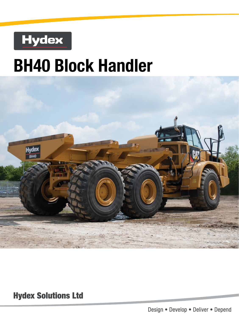

# **BH40 Block Handler**



**Hydex Solutions Ltd** 

Design . Develop . Deliver . Depend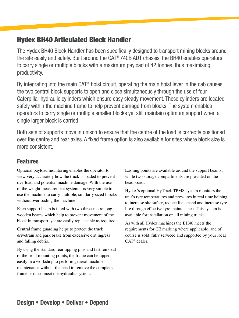## Hydex BH40 Articulated Block Handler

The Hydex BH40 Block Handler has been specifically designed to transport mining blocks around the site easily and safely. Built around the CAT® 740B ADT chassis, the BH40 enables operators to carry single or multiple blocks with a maximum payload of 42 tonnes, thus maximising productivity.

By integrating into the main CAT® hoist circuit, operating the main hoist lever in the cab causes the two central block supports to open and close simultaneously through the use of four Caterpillar hydraulic cylinders which ensure easy steady movement. These cylinders are located safely within the machine frame to help prevent damage from blocks. The system enables operators to carry single or multiple smaller blocks yet still maintain optimum support when a single larger block is carried.

Both sets of supports move in unison to ensure that the centre of the load is correctly positioned over the centre and rear axles. A fixed frame option is also available for sites where block size is more consistent.

### Features

Optional payload monitoring enables the operator to view very accurately how the truck is loaded to prevent overload and potential machine damage. With the use of the weight measurement system it is very simple to use the machine to carry multiple, similarly sized blocks without overloading the machine.

Each support beam is fitted with two three-metre long wooden beams which help to prevent movement of the block in transport, yet are easily replaceable as required.

Central frame guarding helps to protect the truck drivetrain and park brake from excessive dirt ingress and falling debris.

By using the standard rear tipping pins and fast removal of the front mounting points, the frame can be tipped easily in a workshop to perform general machine maintenance without the need to remove the complete frame or disconnect the hydraulic system.

Lashing points are available around the support beams, while two storage compartments are provided on the headboard.

Hydex's optional HyTrack TPMS system monitors the unit's tyre temperatures and pressures in real time helping to increase site safety, reduce fuel spend and increase tyre life through effective tyre maintenance. This system is available for installation on all mining trucks.

As with all Hydex machines the BH40 meets the requirements for CE marking where applicable, and of course is sold, fully serviced and supported by your local CAT® dealer.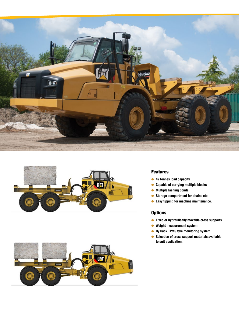





#### Features

- 42 tonnes load capacity
- Capable of carrying multiple blocks
- Multiple lashing points
- Storage compartment for chains etc.
- Easy tipping for machine maintenance.

#### **Options**

- Fixed or hydraulically movable cross supports
- Weight measurement system
- HyTrack TPMS tyre monitoring system
- Selection of cross support materials available to suit application.